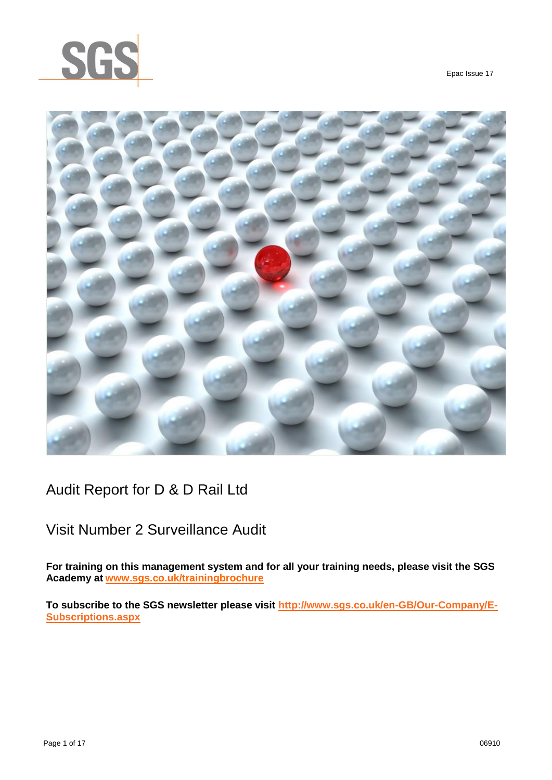

Epac Issue 17



## Audit Report for D & D Rail Ltd

## Visit Number 2 Surveillance Audit

**For training on this management system and for all your training needs, please visit the SGS Academy at [www.sgs.co.uk/trainingbrochure](http://www.sgs.co.uk/trainingbrochure)**

**To subscribe to the SGS newsletter please visit [http://www.sgs.co.uk/en-GB/Our-Company/E-](http://www.sgs.co.uk/en-GB/Our-Company/E-Subscriptions.aspx)[Subscriptions.aspx](http://www.sgs.co.uk/en-GB/Our-Company/E-Subscriptions.aspx)**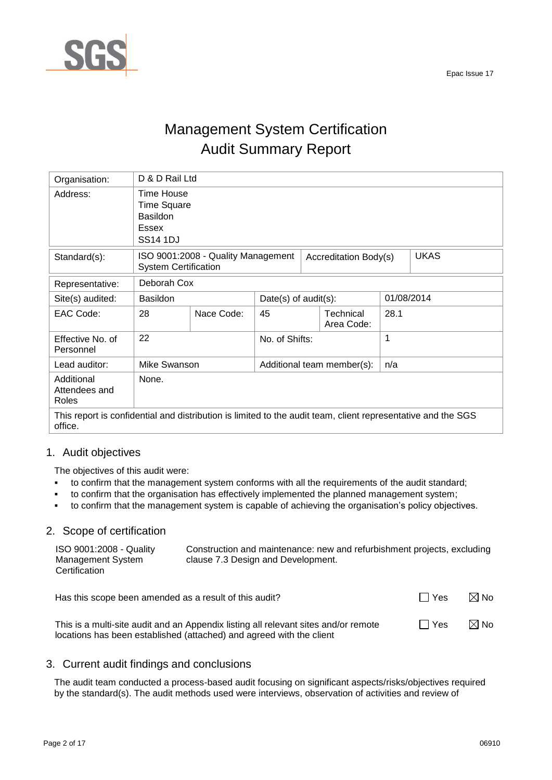

# Management System Certification Audit Summary Report

| Organisation:                                                                                                           | D & D Rail Ltd                                                                         |                                    |                         |                            |            |             |
|-------------------------------------------------------------------------------------------------------------------------|----------------------------------------------------------------------------------------|------------------------------------|-------------------------|----------------------------|------------|-------------|
| Address:                                                                                                                | Time House<br><b>Time Square</b><br><b>Basildon</b><br><b>Essex</b><br><b>SS14 1DJ</b> |                                    |                         |                            |            |             |
| Standard(s):                                                                                                            | <b>System Certification</b>                                                            | ISO 9001:2008 - Quality Management |                         | Accreditation Body(s)      |            | <b>UKAS</b> |
| Representative:                                                                                                         | Deborah Cox                                                                            |                                    |                         |                            |            |             |
| Site(s) audited:                                                                                                        | <b>Basildon</b>                                                                        |                                    | Date(s) of $audit(s)$ : |                            | 01/08/2014 |             |
| EAC Code:                                                                                                               | 28                                                                                     | Nace Code:                         | 45                      | Technical<br>Area Code:    | 28.1       |             |
| Effective No. of<br>Personnel                                                                                           | 22                                                                                     |                                    | No. of Shifts:          |                            | 1          |             |
| Lead auditor:                                                                                                           | Mike Swanson                                                                           |                                    |                         | Additional team member(s): | n/a        |             |
| Additional<br>Attendees and<br>Roles                                                                                    | None.                                                                                  |                                    |                         |                            |            |             |
| This report is confidential and distribution is limited to the audit team, client representative and the SGS<br>office. |                                                                                        |                                    |                         |                            |            |             |

## 1. Audit objectives

The objectives of this audit were:

- to confirm that the management system conforms with all the requirements of the audit standard;
- to confirm that the organisation has effectively implemented the planned management system;
- to confirm that the management system is capable of achieving the organisation's policy objectives.

## 2. Scope of certification

| ISO 9001:2008 - Quality<br>Management System<br>Certification | Construction and maintenance: new and refurbishment projects, excluding<br>clause 7.3 Design and Development. |     |                |
|---------------------------------------------------------------|---------------------------------------------------------------------------------------------------------------|-----|----------------|
| Has this scope been amended as a result of this audit?        |                                                                                                               | Yes | $\boxtimes$ No |

|                                                                                     |            | .              |
|-------------------------------------------------------------------------------------|------------|----------------|
| This is a multi-site audit and an Appendix listing all relevant sites and/or remote | $\Box$ Yes | $\boxtimes$ No |
| locations has been established (attached) and agreed with the client                |            |                |

## 3. Current audit findings and conclusions

The audit team conducted a process-based audit focusing on significant aspects/risks/objectives required by the standard(s). The audit methods used were interviews, observation of activities and review of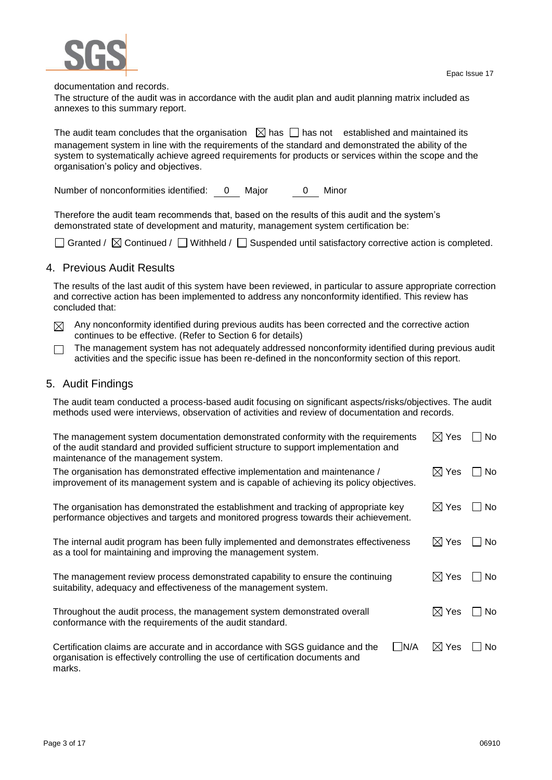

documentation and records.

The structure of the audit was in accordance with the audit plan and audit planning matrix included as annexes to this summary report.

The audit team concludes that the organisation  $\Box$  has  $\Box$  has not established and maintained its management system in line with the requirements of the standard and demonstrated the ability of the system to systematically achieve agreed requirements for products or services within the scope and the organisation's policy and objectives.

Number of nonconformities identified: 0 Major 0 Minor

Therefore the audit team recommends that, based on the results of this audit and the system's demonstrated state of development and maturity, management system certification be:

Granted /  $\boxtimes$  Continued /  $\Box$  Withheld /  $\Box$  Suspended until satisfactory corrective action is completed.

### 4. Previous Audit Results

The results of the last audit of this system have been reviewed, in particular to assure appropriate correction and corrective action has been implemented to address any nonconformity identified. This review has concluded that:

- $\boxtimes$  Any nonconformity identified during previous audits has been corrected and the corrective action continues to be effective. (Refer to Section 6 for details)
- The management system has not adequately addressed nonconformity identified during previous audit  $\Box$ activities and the specific issue has been re-defined in the nonconformity section of this report.

### 5. Audit Findings

The audit team conducted a process-based audit focusing on significant aspects/risks/objectives. The audit methods used were interviews, observation of activities and review of documentation and records.

| The management system documentation demonstrated conformity with the requirements<br>of the audit standard and provided sufficient structure to support implementation and<br>maintenance of the management system. | $\boxtimes$ Yes | <b>No</b>     |
|---------------------------------------------------------------------------------------------------------------------------------------------------------------------------------------------------------------------|-----------------|---------------|
| The organisation has demonstrated effective implementation and maintenance /<br>improvement of its management system and is capable of achieving its policy objectives.                                             | $\boxtimes$ Yes | No.<br>$\sim$ |
| The organisation has demonstrated the establishment and tracking of appropriate key<br>performance objectives and targets and monitored progress towards their achievement.                                         | $\boxtimes$ Yes | No.           |
| The internal audit program has been fully implemented and demonstrates effectiveness<br>as a tool for maintaining and improving the management system.                                                              | $\boxtimes$ Yes | No.           |
| The management review process demonstrated capability to ensure the continuing<br>suitability, adequacy and effectiveness of the management system.                                                                 | $\boxtimes$ Yes | No.           |
| Throughout the audit process, the management system demonstrated overall<br>conformance with the requirements of the audit standard.                                                                                | $\boxtimes$ Yes | No.           |
| N/A<br>Certification claims are accurate and in accordance with SGS guidance and the<br>organisation is effectively controlling the use of certification documents and<br>marks.                                    | $\boxtimes$ Yes | No.           |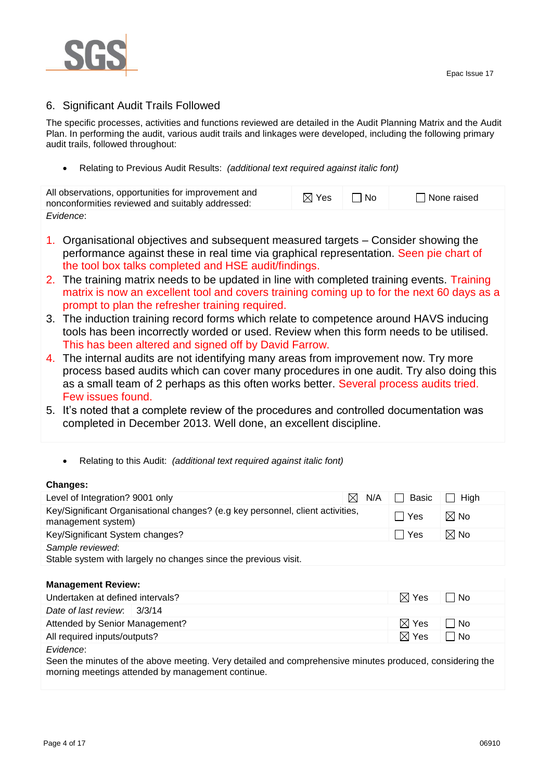

## 6. Significant Audit Trails Followed

The specific processes, activities and functions reviewed are detailed in the Audit Planning Matrix and the Audit Plan. In performing the audit, various audit trails and linkages were developed, including the following primary audit trails, followed throughout:

Relating to Previous Audit Results: *(additional text required against italic font)*

| All observations, opportunities for improvement and<br>nonconformities reviewed and suitably addressed: | $\boxtimes$ Yes | ⊥ I No | None raised |
|---------------------------------------------------------------------------------------------------------|-----------------|--------|-------------|
| Evidence:                                                                                               |                 |        |             |

- 1. Organisational objectives and subsequent measured targets Consider showing the performance against these in real time via graphical representation. Seen pie chart of the tool box talks completed and HSE audit/findings.
- 2. The training matrix needs to be updated in line with completed training events. Training matrix is now an excellent tool and covers training coming up to for the next 60 days as a prompt to plan the refresher training required.
- 3. The induction training record forms which relate to competence around HAVS inducing tools has been incorrectly worded or used. Review when this form needs to be utilised. This has been altered and signed off by David Farrow.
- 4. The internal audits are not identifying many areas from improvement now. Try more process based audits which can cover many procedures in one audit. Try also doing this as a small team of 2 perhaps as this often works better. Several process audits tried. Few issues found.
- 5. It's noted that a complete review of the procedures and controlled documentation was completed in December 2013. Well done, an excellent discipline.
	- Relating to this Audit: *(additional text required against italic font)*

### **Changes:**

| Level of Integration? 9001 only                                                                      | N/A<br>$\bowtie$ | Basic             | High                                   |
|------------------------------------------------------------------------------------------------------|------------------|-------------------|----------------------------------------|
| Key/Significant Organisational changes? (e.g key personnel, client activities,<br>management system) |                  | l lYes            | $\boxtimes$ No                         |
| Key/Significant System changes?                                                                      |                  | l Yes             | $\boxtimes$ No                         |
| Sample reviewed:                                                                                     |                  |                   |                                        |
| Stable system with largely no changes since the previous visit.                                      |                  |                   |                                        |
|                                                                                                      |                  |                   |                                        |
| <b>Management Review:</b>                                                                            |                  |                   |                                        |
| المستحدث والمتحل والمتحارب والمتحافظ والمستحل والمستحل والمناسبة                                     |                  | $\nabla$ $\nabla$ | $\mathbf{1}$ $\mathbf{1}$ $\mathbf{N}$ |

| Undertaken at defined intervals?                                                                         | $\boxtimes$ Yes | l No         |  |
|----------------------------------------------------------------------------------------------------------|-----------------|--------------|--|
| Date of last review: $\frac{3}{3}$ 14                                                                    |                 |              |  |
| Attended by Senior Management?                                                                           | $\boxtimes$ Yes | $\vert$   No |  |
| All required inputs/outputs?                                                                             | $\boxtimes$ Yes | $\Box$ No    |  |
| Evidence:                                                                                                |                 |              |  |
| Seen the minutes of the above meeting. Very detailed and comprehensive minutes produced, considering the |                 |              |  |
| morning meetings attended by management continue.                                                        |                 |              |  |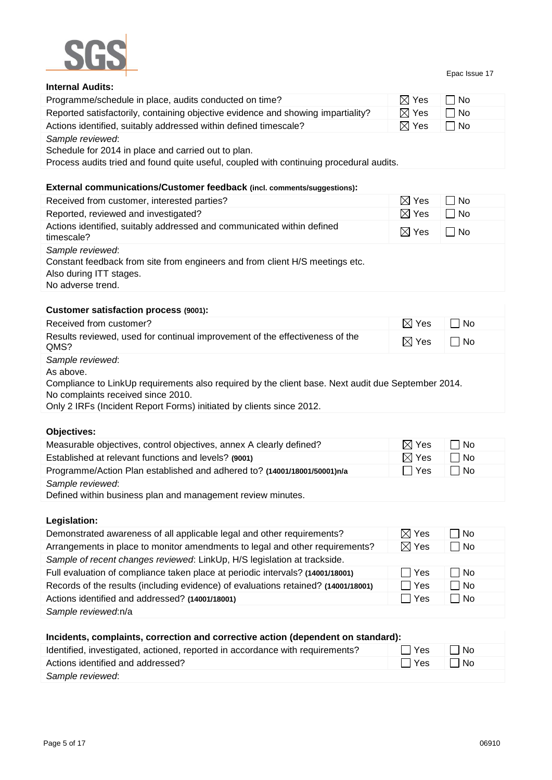

#### Epac Issue 17

| <b>Internal Audits:</b>                                                                 |                 |      |
|-----------------------------------------------------------------------------------------|-----------------|------|
| Programme/schedule in place, audits conducted on time?                                  | $\boxtimes$ Yes | l No |
| Reported satisfactorily, containing objective evidence and showing impartiality?        | $\boxtimes$ Yes | ∣ No |
| Actions identified, suitably addressed within defined timescale?                        | $\boxtimes$ Yes | □ No |
| Sample reviewed:                                                                        |                 |      |
| Schedule for 2014 in place and carried out to plan.                                     |                 |      |
| Process audits tried and found quite useful, coupled with continuing procedural audits. |                 |      |

## **External communications/Customer feedback (incl. comments/suggestions):**

| Received from customer, interested parties?                                                                                                      | $\boxtimes$ Yes | - I No |
|--------------------------------------------------------------------------------------------------------------------------------------------------|-----------------|--------|
| Reported, reviewed and investigated?                                                                                                             | $\boxtimes$ Yes | No     |
| Actions identified, suitably addressed and communicated within defined<br>timescale?                                                             | $\boxtimes$ Yes | ∣No    |
| Sample reviewed:<br>Constant feedback from site from engineers and from client H/S meetings etc.<br>Also during ITT stages.<br>No adverse trend. |                 |        |

### **Customer satisfaction process (9001):**

| Received from customer?                                                                            | $\boxtimes$ Yes | l No |
|----------------------------------------------------------------------------------------------------|-----------------|------|
| Results reviewed, used for continual improvement of the effectiveness of the<br>QMS?               | $\boxtimes$ Yes | ∩ No |
| Sample reviewed:                                                                                   |                 |      |
| As above.                                                                                          |                 |      |
| Compliance to LinkUp requirements also required by the client base. Next audit due September 2014. |                 |      |
| No complaints received since 2010.                                                                 |                 |      |
| Only 2 IRFs (Incident Report Forms) initiated by clients since 2012.                               |                 |      |

## **Objectives:**

| Measurable objectives, control objectives, annex A clearly defined?      | $\boxtimes$ Yes | □ No      |  |
|--------------------------------------------------------------------------|-----------------|-----------|--|
| Established at relevant functions and levels? (9001)                     | $\boxtimes$ Yes | $\Box$ No |  |
| Programme/Action Plan established and adhered to? (14001/18001/50001)n/a | l I Yes         | l No      |  |
| Sample reviewed:                                                         |                 |           |  |
| Defined within business plan and management review minutes.              |                 |           |  |

**Legislation:**

| Demonstrated awareness of all applicable legal and other requirements?             | $\boxtimes$ Yes | l No        |
|------------------------------------------------------------------------------------|-----------------|-------------|
| Arrangements in place to monitor amendments to legal and other requirements?       | $\boxtimes$ Yes | $\Box$ No   |
| Sample of recent changes reviewed: LinkUp, H/S legislation at trackside.           |                 |             |
| Full evaluation of compliance taken place at periodic intervals? (14001/18001)     | <b>N</b> Yes    | ∃ No        |
| Records of the results (including evidence) of evaluations retained? (14001/18001) | $\Box$ Yes      | $\Box$ No   |
| Actions identified and addressed? (14001/18001)                                    | $\Box$ Yes      | $\sqcap$ No |
| Sample reviewed:n/a                                                                |                 |             |

| Incidents, complaints, correction and corrective action (dependent on standard): |       |       |  |  |  |
|----------------------------------------------------------------------------------|-------|-------|--|--|--|
| Identified, investigated, actioned, reported in accordance with requirements?    | l Yes | l INo |  |  |  |
| Actions identified and addressed?                                                | □ Yes | l No  |  |  |  |
| Sample reviewed:                                                                 |       |       |  |  |  |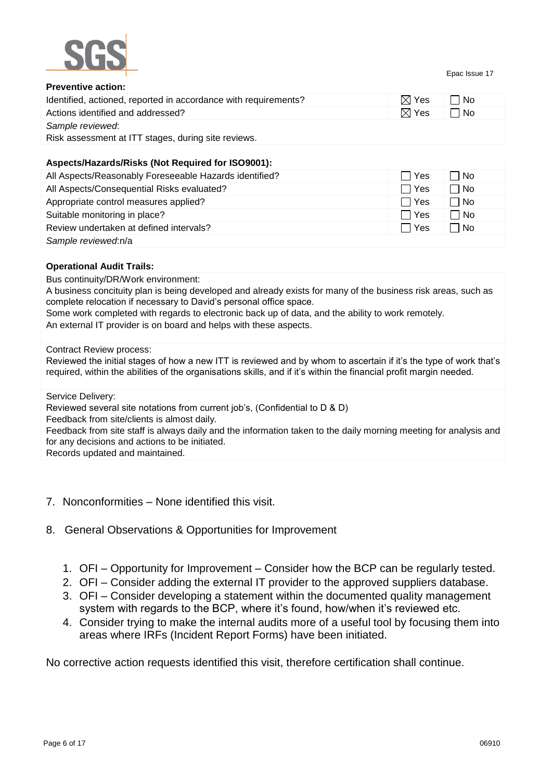

Epac Issue 17

| <b>Preventive action:</b>                                               |                 |      |
|-------------------------------------------------------------------------|-----------------|------|
| Identified, actioned, reported in accordance with requirements?         | $\boxtimes$ Yes | l No |
| Actions identified and addressed?                                       | $\boxtimes$ Yes | ∣No  |
| Sample reviewed:<br>Risk assessment at ITT stages, during site reviews. |                 |      |
|                                                                         |                 |      |

### **Aspects/Hazards/Risks (Not Required for ISO9001):**

| All Aspects/Reasonably Foreseeable Hazards identified? | ∏ Yes      | l No        |
|--------------------------------------------------------|------------|-------------|
| All Aspects/Consequential Risks evaluated?             | l Yes      | $\Box$ No   |
| Appropriate control measures applied?                  | <b>Yes</b> | $\Box$ No   |
| Suitable monitoring in place?                          | Yes \      | $\sqcap$ No |
| Review undertaken at defined intervals?                | l Yes      | No          |
| Sample reviewed:n/a                                    |            |             |

### **Operational Audit Trails:**

Bus continuity/DR/Work environment:

A business concituity plan is being developed and already exists for many of the business risk areas, such as complete relocation if necessary to David's personal office space.

Some work completed with regards to electronic back up of data, and the ability to work remotely. An external IT provider is on board and helps with these aspects.

#### Contract Review process:

Reviewed the initial stages of how a new ITT is reviewed and by whom to ascertain if it's the type of work that's required, within the abilities of the organisations skills, and if it's within the financial profit margin needed.

Service Delivery:

Reviewed several site notations from current job's, (Confidential to D & D)

Feedback from site/clients is almost daily.

Feedback from site staff is always daily and the information taken to the daily morning meeting for analysis and for any decisions and actions to be initiated.

Records updated and maintained.

- 7. Nonconformities None identified this visit.
- 8. General Observations & Opportunities for Improvement
	- 1. OFI Opportunity for Improvement Consider how the BCP can be regularly tested.
	- 2. OFI Consider adding the external IT provider to the approved suppliers database.
	- 3. OFI Consider developing a statement within the documented quality management system with regards to the BCP, where it's found, how/when it's reviewed etc.
	- 4. Consider trying to make the internal audits more of a useful tool by focusing them into areas where IRFs (Incident Report Forms) have been initiated.

No corrective action requests identified this visit, therefore certification shall continue.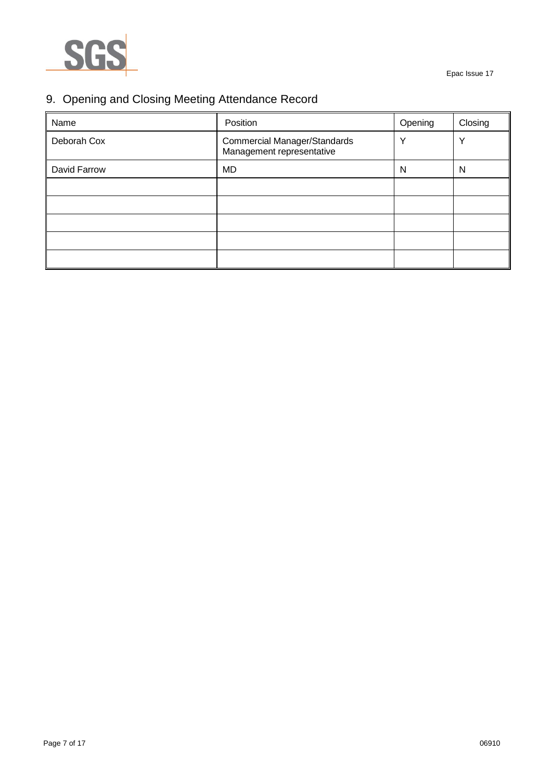

## 9. Opening and Closing Meeting Attendance Record

| Name         | Position                                                         | Opening      | Closing |
|--------------|------------------------------------------------------------------|--------------|---------|
| Deborah Cox  | <b>Commercial Manager/Standards</b><br>Management representative | $\checkmark$ | \/      |
| David Farrow | <b>MD</b>                                                        | N            | N       |
|              |                                                                  |              |         |
|              |                                                                  |              |         |
|              |                                                                  |              |         |
|              |                                                                  |              |         |
|              |                                                                  |              |         |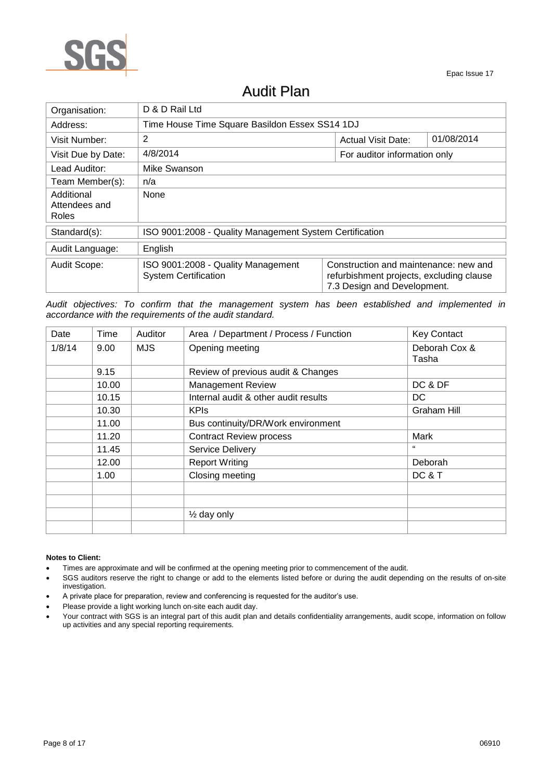

## Audit Plan

| Organisation:                        | D & D Rail Ltd                                                    |                                                                                                                  |  |  |  |  |
|--------------------------------------|-------------------------------------------------------------------|------------------------------------------------------------------------------------------------------------------|--|--|--|--|
| Address:                             | Time House Time Square Basildon Essex SS14 1DJ                    |                                                                                                                  |  |  |  |  |
| Visit Number:                        | 2                                                                 | 01/08/2014<br><b>Actual Visit Date:</b>                                                                          |  |  |  |  |
| Visit Due by Date:                   | 4/8/2014<br>For auditor information only                          |                                                                                                                  |  |  |  |  |
| Lead Auditor:                        | Mike Swanson                                                      |                                                                                                                  |  |  |  |  |
| Team Member(s):                      | n/a                                                               |                                                                                                                  |  |  |  |  |
| Additional<br>Attendees and<br>Roles | None                                                              |                                                                                                                  |  |  |  |  |
| Standard(s):                         | ISO 9001:2008 - Quality Management System Certification           |                                                                                                                  |  |  |  |  |
| Audit Language:                      | English                                                           |                                                                                                                  |  |  |  |  |
| Audit Scope:                         | ISO 9001:2008 - Quality Management<br><b>System Certification</b> | Construction and maintenance: new and<br>refurbishment projects, excluding clause<br>7.3 Design and Development. |  |  |  |  |

*Audit objectives: To confirm that the management system has been established and implemented in accordance with the requirements of the audit standard.*

| Date   | Time  | Auditor    | Area / Department / Process / Function | <b>Key Contact</b>     |
|--------|-------|------------|----------------------------------------|------------------------|
| 1/8/14 | 9.00  | <b>MJS</b> | Opening meeting                        | Deborah Cox &<br>Tasha |
|        | 9.15  |            | Review of previous audit & Changes     |                        |
|        | 10.00 |            | <b>Management Review</b>               | DC & DF                |
|        | 10.15 |            | Internal audit & other audit results   | DC.                    |
|        | 10.30 |            | <b>KPIS</b>                            | Graham Hill            |
|        | 11.00 |            | Bus continuity/DR/Work environment     |                        |
|        | 11.20 |            | <b>Contract Review process</b>         | Mark                   |
|        | 11.45 |            | Service Delivery                       | 66                     |
|        | 12.00 |            | <b>Report Writing</b>                  | Deborah                |
|        | 1.00  |            | Closing meeting                        | DC & T                 |
|        |       |            |                                        |                        |
|        |       |            |                                        |                        |
|        |       |            | $\frac{1}{2}$ day only                 |                        |
|        |       |            |                                        |                        |

#### **Notes to Client:**

- Times are approximate and will be confirmed at the opening meeting prior to commencement of the audit.
- SGS auditors reserve the right to change or add to the elements listed before or during the audit depending on the results of on-site investigation.
- A private place for preparation, review and conferencing is requested for the auditor's use.
- Please provide a light working lunch on-site each audit day.
- Your contract with SGS is an integral part of this audit plan and details confidentiality arrangements, audit scope, information on follow up activities and any special reporting requirements.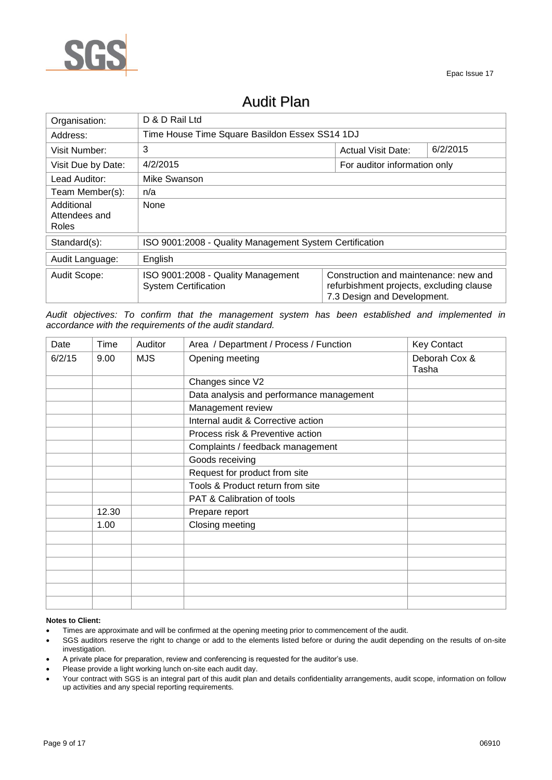

| Organisation:                               | D & D Rail Ltd                                                    |                                                                                                                  |          |  |  |  |
|---------------------------------------------|-------------------------------------------------------------------|------------------------------------------------------------------------------------------------------------------|----------|--|--|--|
| Address:                                    |                                                                   | Time House Time Square Basildon Essex SS14 1DJ                                                                   |          |  |  |  |
| Visit Number:                               | 3                                                                 | <b>Actual Visit Date:</b>                                                                                        | 6/2/2015 |  |  |  |
| Visit Due by Date:                          | 4/2/2015<br>For auditor information only                          |                                                                                                                  |          |  |  |  |
| Lead Auditor:                               | Mike Swanson                                                      |                                                                                                                  |          |  |  |  |
| Team Member(s):                             | n/a                                                               |                                                                                                                  |          |  |  |  |
| Additional<br>Attendees and<br><b>Roles</b> | None                                                              |                                                                                                                  |          |  |  |  |
| Standard(s):                                | ISO 9001:2008 - Quality Management System Certification           |                                                                                                                  |          |  |  |  |
| Audit Language:                             | English                                                           |                                                                                                                  |          |  |  |  |
| Audit Scope:                                | ISO 9001:2008 - Quality Management<br><b>System Certification</b> | Construction and maintenance: new and<br>refurbishment projects, excluding clause<br>7.3 Design and Development. |          |  |  |  |

## Audit Plan

*Audit objectives: To confirm that the management system has been established and implemented in accordance with the requirements of the audit standard.*

| Date   | Time  | Auditor    | Area / Department / Process / Function   | <b>Key Contact</b>     |
|--------|-------|------------|------------------------------------------|------------------------|
| 6/2/15 | 9.00  | <b>MJS</b> | Opening meeting                          | Deborah Cox &<br>Tasha |
|        |       |            | Changes since V2                         |                        |
|        |       |            | Data analysis and performance management |                        |
|        |       |            | Management review                        |                        |
|        |       |            | Internal audit & Corrective action       |                        |
|        |       |            | Process risk & Preventive action         |                        |
|        |       |            | Complaints / feedback management         |                        |
|        |       |            | Goods receiving                          |                        |
|        |       |            | Request for product from site            |                        |
|        |       |            | Tools & Product return from site         |                        |
|        |       |            | PAT & Calibration of tools               |                        |
|        | 12.30 |            | Prepare report                           |                        |
|        | 1.00  |            | Closing meeting                          |                        |
|        |       |            |                                          |                        |
|        |       |            |                                          |                        |
|        |       |            |                                          |                        |
|        |       |            |                                          |                        |
|        |       |            |                                          |                        |
|        |       |            |                                          |                        |

#### **Notes to Client:**

- Times are approximate and will be confirmed at the opening meeting prior to commencement of the audit.
- SGS auditors reserve the right to change or add to the elements listed before or during the audit depending on the results of on-site investigation.
- A private place for preparation, review and conferencing is requested for the auditor's use.
- Please provide a light working lunch on-site each audit day.
- Your contract with SGS is an integral part of this audit plan and details confidentiality arrangements, audit scope, information on follow up activities and any special reporting requirements.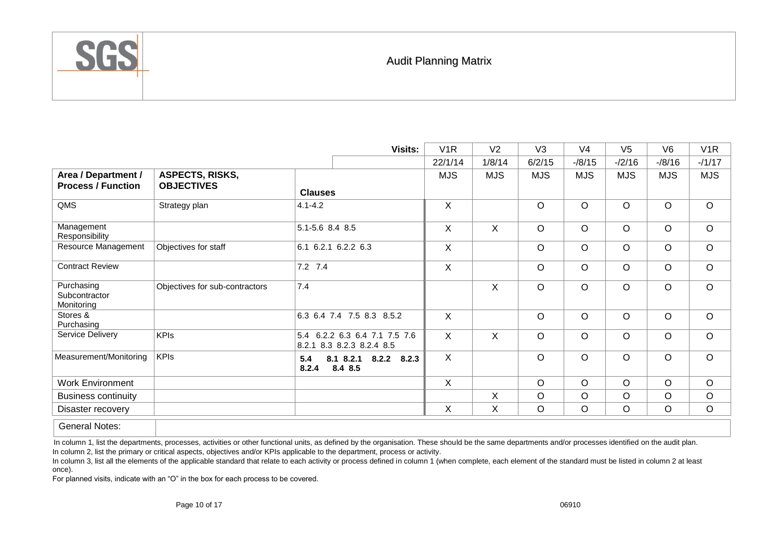

## Audit Planning Matrix

|                                                  |                                             |                                                            | <b>Visits:</b> | V <sub>1</sub> R | V <sub>2</sub> | V <sub>3</sub> | V <sub>4</sub> | V <sub>5</sub> | V <sub>6</sub> | V <sub>1</sub> R |
|--------------------------------------------------|---------------------------------------------|------------------------------------------------------------|----------------|------------------|----------------|----------------|----------------|----------------|----------------|------------------|
|                                                  |                                             |                                                            |                | 22/1/14          | 1/8/14         | 6/2/15         | $-18/15$       | $-2/16$        | $-18/16$       | $-11/17$         |
| Area / Department /<br><b>Process / Function</b> | <b>ASPECTS, RISKS,</b><br><b>OBJECTIVES</b> | <b>Clauses</b>                                             |                | <b>MJS</b>       | <b>MJS</b>     | <b>MJS</b>     | <b>MJS</b>     | <b>MJS</b>     | <b>MJS</b>     | <b>MJS</b>       |
| QMS                                              | Strategy plan                               | $4.1 - 4.2$                                                |                | X                |                | $\circ$        | $\circ$        | $\circ$        | O              | $\circ$          |
| Management<br>Responsibility                     |                                             | 5.1-5.6 8.4 8.5                                            |                | X                | X              | $\circ$        | $\circ$        | $\circ$        | $\circ$        | $\circ$          |
| Resource Management                              | Objectives for staff                        | 6.1<br>6.2.1 6.2.2 6.3                                     |                | X                |                | $\circ$        | $\circ$        | $\circ$        | $\circ$        | $\circ$          |
| <b>Contract Review</b>                           |                                             | 7.2 7.4                                                    |                | X                |                | $\circ$        | $\circ$        | $\circ$        | O              | $\circ$          |
| Purchasing<br>Subcontractor<br>Monitoring        | Objectives for sub-contractors              | 7.4                                                        |                |                  | X              | $\circ$        | $\circ$        | $\circ$        | $\circ$        | $\circ$          |
| Stores &<br>Purchasing                           |                                             | 6.3 6.4 7.4 7.5 8.3 8.5.2                                  |                | $\sf X$          |                | $\Omega$       | $\Omega$       | $\Omega$       | $\circ$        | $\circ$          |
| Service Delivery                                 | <b>KPIs</b>                                 | 5.4 6.2.2 6.3 6.4 7.1 7.5 7.6<br>8.2.1 8.3 8.2.3 8.2.4 8.5 |                | X                | X              | $\circ$        | $\circ$        | $\circ$        | $\circ$        | $\circ$          |
| Measurement/Monitoring                           | <b>KPIs</b>                                 | 8.1 8.2.1<br>8.2.2<br>5.4<br>8.4 8.5<br>8.2.4              | 8.2.3          | X                |                | $\circ$        | $\circ$        | $\circ$        | $\circ$        | $\circ$          |
| <b>Work Environment</b>                          |                                             |                                                            |                | X                |                | $\circ$        | $\circ$        | $\circ$        | $\circ$        | $\circ$          |
| <b>Business continuity</b>                       |                                             |                                                            |                |                  | X              | $\circ$        | $\circ$        | $\circ$        | $\circ$        | $\circ$          |
| Disaster recovery                                |                                             |                                                            |                | X                | $\sf X$        | $\circ$        | $\circ$        | $\circ$        | $\circ$        | $\circ$          |
|                                                  |                                             |                                                            |                |                  |                |                |                |                |                |                  |

General Notes:

In column 1, list the departments, processes, activities or other functional units, as defined by the organisation. These should be the same departments and/or processes identified on the audit plan. In column 2, list the primary or critical aspects, objectives and/or KPIs applicable to the department, process or activity.

In column 3, list all the elements of the applicable standard that relate to each activity or process defined in column 1 (when complete, each element of the standard must be listed in column 2 at least once).

For planned visits, indicate with an "O" in the box for each process to be covered.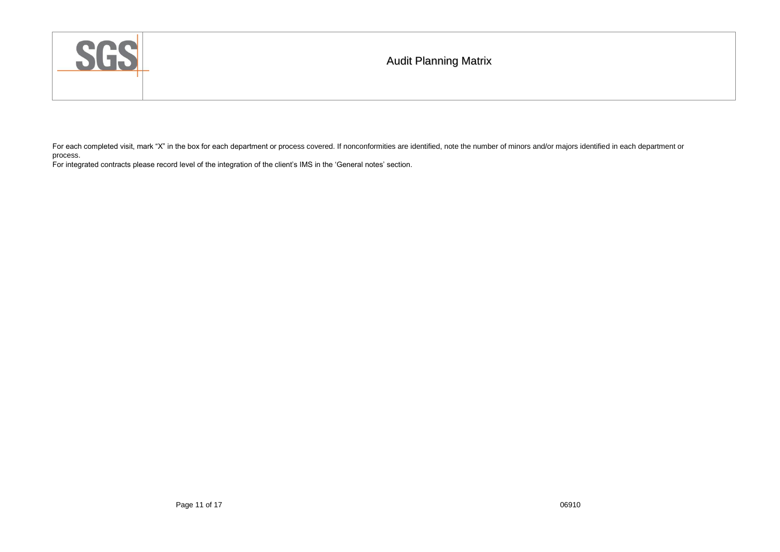| SGS | <b>Audit Planning Matrix</b> |
|-----|------------------------------|
|     |                              |

For each completed visit, mark "X" in the box for each department or process covered. If nonconformities are identified, note the number of minors and/or majors identified in each department or process.

For integrated contracts please record level of the integration of the client's IMS in the 'General notes' section.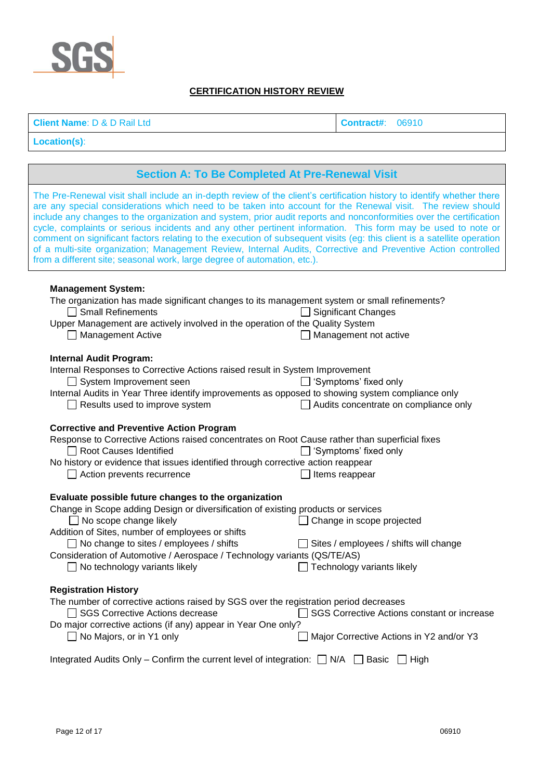

## **CERTIFICATION HISTORY REVIEW**

**Client Name**: D & D Rail Ltd **Contract#**: 06910

**Location(s)**:

## **Section A: To Be Completed At Pre-Renewal Visit**

The Pre-Renewal visit shall include an in-depth review of the client's certification history to identify whether there are any special considerations which need to be taken into account for the Renewal visit. The review should include any changes to the organization and system, prior audit reports and nonconformities over the certification cycle, complaints or serious incidents and any other pertinent information. This form may be used to note or comment on significant factors relating to the execution of subsequent visits (eg: this client is a satellite operation of a multi-site organization; Management Review, Internal Audits, Corrective and Preventive Action controlled from a different site; seasonal work, large degree of automation, etc.).

### **Management System:**

| The organization has made significant changes to its management system or small refinements?<br><b>Small Refinements</b><br>Upper Management are actively involved in the operation of the Quality System | <b>Significant Changes</b>                  |
|-----------------------------------------------------------------------------------------------------------------------------------------------------------------------------------------------------------|---------------------------------------------|
| <b>Management Active</b>                                                                                                                                                                                  | Management not active                       |
| <b>Internal Audit Program:</b>                                                                                                                                                                            |                                             |
| Internal Responses to Corrective Actions raised result in System Improvement                                                                                                                              |                                             |
| System Improvement seen                                                                                                                                                                                   | 'Symptoms' fixed only<br>$\perp$            |
| Internal Audits in Year Three identify improvements as opposed to showing system compliance only                                                                                                          |                                             |
| Results used to improve system                                                                                                                                                                            | Audits concentrate on compliance only       |
| <b>Corrective and Preventive Action Program</b>                                                                                                                                                           |                                             |
| Response to Corrective Actions raised concentrates on Root Cause rather than superficial fixes                                                                                                            |                                             |
| <b>Root Causes Identified</b>                                                                                                                                                                             | Symptoms' fixed only                        |
| No history or evidence that issues identified through corrective action reappear                                                                                                                          |                                             |
| Action prevents recurrence                                                                                                                                                                                | Items reappear                              |
|                                                                                                                                                                                                           |                                             |
| Evaluate possible future changes to the organization                                                                                                                                                      |                                             |
| Change in Scope adding Design or diversification of existing products or services                                                                                                                         |                                             |
| $\Box$ No scope change likely                                                                                                                                                                             | Change in scope projected                   |
| Addition of Sites, number of employees or shifts                                                                                                                                                          |                                             |
| $\Box$ No change to sites / employees / shifts                                                                                                                                                            | Sites / employees / shifts will change      |
| Consideration of Automotive / Aerospace / Technology variants (QS/TE/AS)                                                                                                                                  |                                             |
| No technology variants likely                                                                                                                                                                             | Technology variants likely                  |
| <b>Registration History</b>                                                                                                                                                                               |                                             |
| The number of corrective actions raised by SGS over the registration period decreases                                                                                                                     |                                             |
| <b>SGS Corrective Actions decrease</b>                                                                                                                                                                    | SGS Corrective Actions constant or increase |
| Do major corrective actions (if any) appear in Year One only?                                                                                                                                             |                                             |

 $\Box$  No Majors, or in Y1 only  $\Box$  Major Corrective Actions in Y2 and/or Y3

Integrated Audits Only – Confirm the current level of integration:  $\Box$  N/A  $\Box$  Basic  $\Box$  High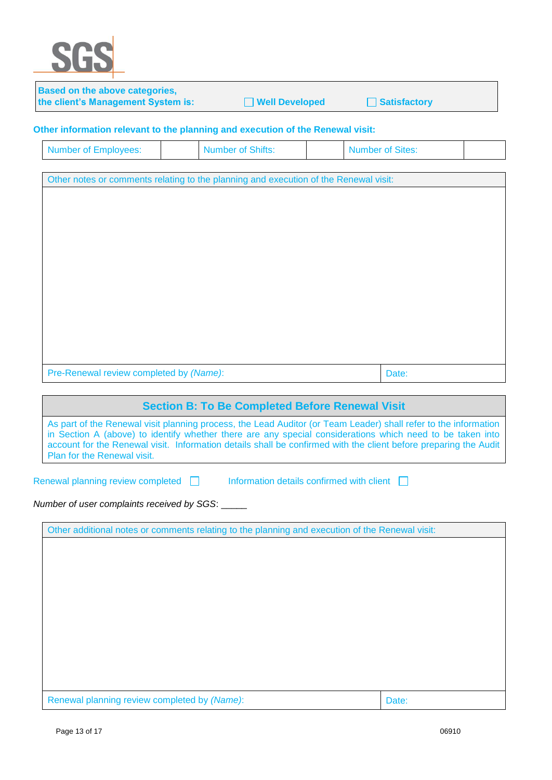

| Based on the above categories,<br>the client's Management System is:                                                                                                                                                                                                                                                                                                            | <b>Well Developed</b>                                  | <b>Satisfactory</b>     |  |
|---------------------------------------------------------------------------------------------------------------------------------------------------------------------------------------------------------------------------------------------------------------------------------------------------------------------------------------------------------------------------------|--------------------------------------------------------|-------------------------|--|
| Other information relevant to the planning and execution of the Renewal visit:                                                                                                                                                                                                                                                                                                  |                                                        |                         |  |
| <b>Number of Employees:</b>                                                                                                                                                                                                                                                                                                                                                     | <b>Number of Shifts:</b>                               | <b>Number of Sites:</b> |  |
| Other notes or comments relating to the planning and execution of the Renewal visit:                                                                                                                                                                                                                                                                                            |                                                        |                         |  |
|                                                                                                                                                                                                                                                                                                                                                                                 |                                                        |                         |  |
|                                                                                                                                                                                                                                                                                                                                                                                 |                                                        |                         |  |
|                                                                                                                                                                                                                                                                                                                                                                                 |                                                        |                         |  |
|                                                                                                                                                                                                                                                                                                                                                                                 |                                                        |                         |  |
|                                                                                                                                                                                                                                                                                                                                                                                 |                                                        |                         |  |
|                                                                                                                                                                                                                                                                                                                                                                                 |                                                        |                         |  |
|                                                                                                                                                                                                                                                                                                                                                                                 |                                                        |                         |  |
| Pre-Renewal review completed by (Name):                                                                                                                                                                                                                                                                                                                                         |                                                        | Date:                   |  |
|                                                                                                                                                                                                                                                                                                                                                                                 | <b>Section B: To Be Completed Before Renewal Visit</b> |                         |  |
| As part of the Renewal visit planning process, the Lead Auditor (or Team Leader) shall refer to the information<br>in Section A (above) to identify whether there are any special considerations which need to be taken into<br>account for the Renewal visit. Information details shall be confirmed with the client before preparing the Audit<br>Plan for the Renewal visit. |                                                        |                         |  |
| Renewal planning review completed                                                                                                                                                                                                                                                                                                                                               | Information details confirmed with client              |                         |  |
| Number of user complaints received by SGS:                                                                                                                                                                                                                                                                                                                                      |                                                        |                         |  |
| Other additional notes or comments relating to the planning and execution of the Renewal visit:                                                                                                                                                                                                                                                                                 |                                                        |                         |  |
|                                                                                                                                                                                                                                                                                                                                                                                 |                                                        |                         |  |
|                                                                                                                                                                                                                                                                                                                                                                                 |                                                        |                         |  |
|                                                                                                                                                                                                                                                                                                                                                                                 |                                                        |                         |  |
|                                                                                                                                                                                                                                                                                                                                                                                 |                                                        |                         |  |
|                                                                                                                                                                                                                                                                                                                                                                                 |                                                        |                         |  |
|                                                                                                                                                                                                                                                                                                                                                                                 |                                                        |                         |  |
| Renewal planning review completed by (Name):                                                                                                                                                                                                                                                                                                                                    |                                                        | Date:                   |  |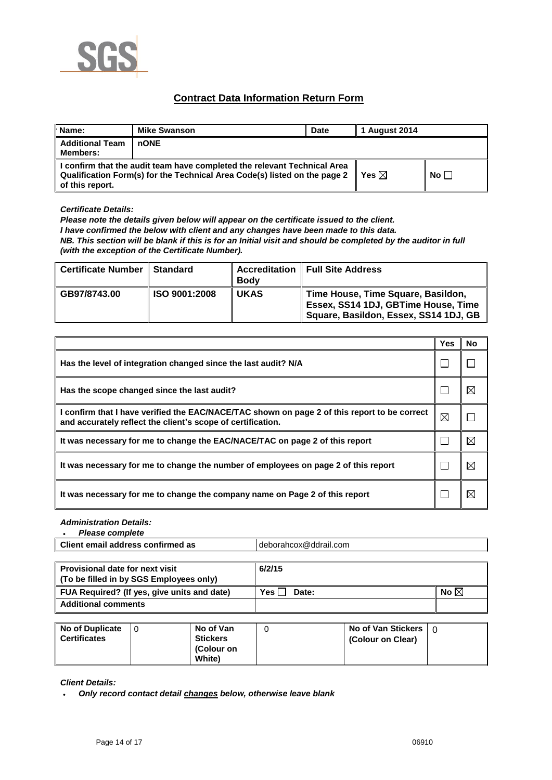

## **Contract Data Information Return Form**

| Name:                                                                                                                                                                    | <b>Mike Swanson</b> | <b>Date</b>     | 1 August 2014 |  |
|--------------------------------------------------------------------------------------------------------------------------------------------------------------------------|---------------------|-----------------|---------------|--|
| <b>Additional Team</b><br><b>Members:</b>                                                                                                                                | l nONE              |                 |               |  |
| I confirm that the audit team have completed the relevant Technical Area<br>Qualification Form(s) for the Technical Area Code(s) listed on the page 2<br>of this report. |                     | Yes $\boxtimes$ | No l          |  |

*Certificate Details:*

*Please note the details given below will appear on the certificate issued to the client. I have confirmed the below with client and any changes have been made to this data. NB. This section will be blank if this is for an Initial visit and should be completed by the auditor in full (with the exception of the Certificate Number).* 

| <b>Certificate Number</b> | <b>Standard</b> | <b>Body</b> | <b>Accreditation   Full Site Address</b>                                                                             |
|---------------------------|-----------------|-------------|----------------------------------------------------------------------------------------------------------------------|
| GB97/8743.00              | ISO 9001:2008   | <b>UKAS</b> | ∥ Time House, Time Square, Basildon,<br>Essex, SS14 1DJ, GBTime House, Time<br>Square, Basildon, Essex, SS14 1DJ, GB |

|                                                                                                                                                             | Yes         | No |
|-------------------------------------------------------------------------------------------------------------------------------------------------------------|-------------|----|
| Has the level of integration changed since the last audit? N/A                                                                                              |             |    |
| Has the scope changed since the last audit?                                                                                                                 |             | IX |
| I confirm that I have verified the EAC/NACE/TAC shown on page 2 of this report to be correct<br>and accurately reflect the client's scope of certification. | $\boxtimes$ |    |
| It was necessary for me to change the EAC/NACE/TAC on page 2 of this report                                                                                 |             | M  |
| It was necessary for me to change the number of employees on page 2 of this report                                                                          |             | ⊠  |
| It was necessary for me to change the company name on Page 2 of this report                                                                                 |             | M  |

*Administration Details: Please complete*

| Please complete                        |                       |
|----------------------------------------|-----------------------|
| Client<br>. email address confirmed as | deborahcox@ddrail.com |
|                                        |                       |

| <b>Provisional date for next visit</b><br>(To be filled in by SGS Employees only) | 6/2/15              |                |
|-----------------------------------------------------------------------------------|---------------------|----------------|
| FUA Required? (If yes, give units and date)                                       | <b>Yes</b><br>Date: | No $\boxtimes$ |
| <b>Additional comments</b>                                                        |                     |                |

| No of Duplicate<br><b>Certificates</b> | No of Van<br><b>Stickers</b><br>(Colour on<br><b>White</b> | No of Van Stickers $\vert$ 0<br>(Colour on Clear) |  |
|----------------------------------------|------------------------------------------------------------|---------------------------------------------------|--|
|                                        |                                                            |                                                   |  |

*Client Details:*

*Only record contact detail changes below, otherwise leave blank*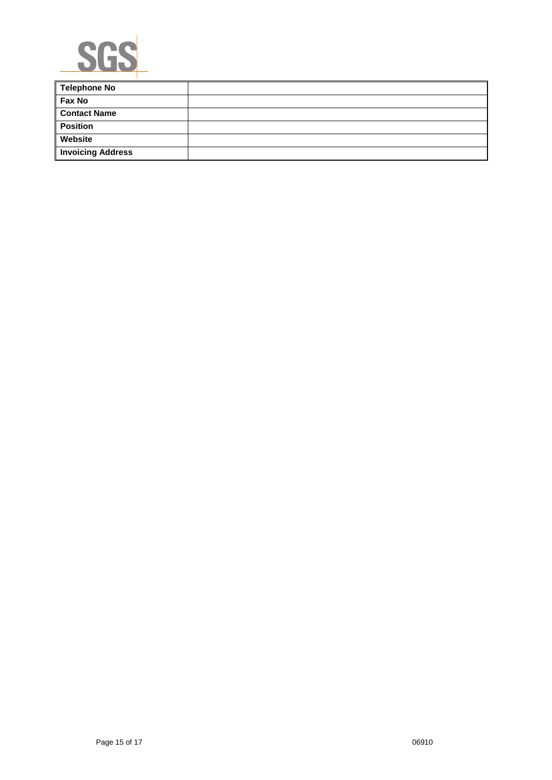

| <b>Telephone No</b>      |  |
|--------------------------|--|
| <b>Fax No</b>            |  |
| <b>Contact Name</b>      |  |
| <b>Position</b>          |  |
| Website                  |  |
| <b>Invoicing Address</b> |  |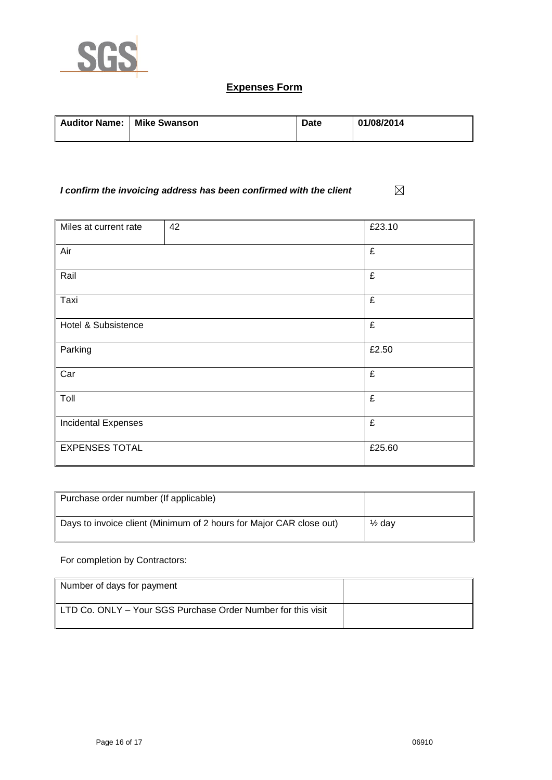

## **Expenses Form**

| Auditor Name:   Mike Swanson | Date | 01/08/2014 |
|------------------------------|------|------------|
|                              |      |            |

#### $\boxtimes$ *I confirm the invoicing address has been confirmed with the client*

| Miles at current rate      | 42 | £23.10 |
|----------------------------|----|--------|
| Air                        |    | £      |
| Rail                       |    | £      |
| Taxi                       |    | £      |
| Hotel & Subsistence        |    | £      |
| Parking                    |    | £2.50  |
| Car                        |    | £      |
| Toll                       |    | £      |
| <b>Incidental Expenses</b> |    | £      |
| <b>EXPENSES TOTAL</b>      |    | £25.60 |

| Purchase order number (If applicable)                               |                   |
|---------------------------------------------------------------------|-------------------|
| Days to invoice client (Minimum of 2 hours for Major CAR close out) | $\frac{1}{2}$ dav |

### For completion by Contractors:

| Number of days for payment                                   |  |
|--------------------------------------------------------------|--|
| LTD Co. ONLY - Your SGS Purchase Order Number for this visit |  |